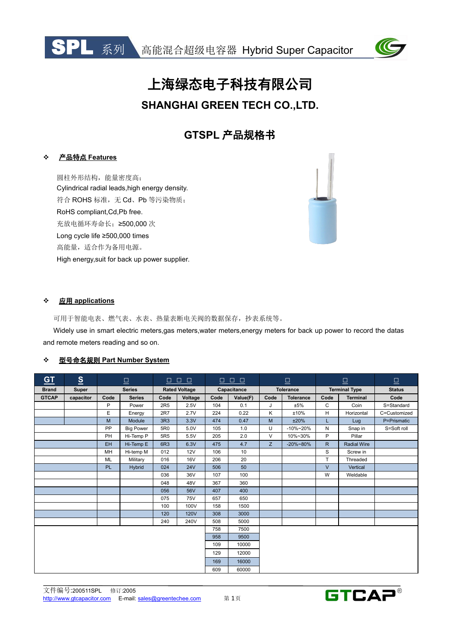



# 上海绿态电子科技有限公司 **SHANGHAI GREEN TECH CO.,LTD.**

# **GTSPL** 产品规格书

#### 产品特点 **Features**

圆柱外形结构,能量密度高; Cylindrical radial leads,high energy density. 符合 ROHS 标准,无 Cd、Pb 等污染物质; RoHS compliant,Cd,Pb free. 充放电循环寿命长;≥500,000 次 Long cycle life ≥500,000 times 高能量,适合作为备用电源。 High energy,suit for back up power supplier.

#### 应用 **applications**

可用于智能电表、燃气表、水表、热量表断电关阀的数据保存,抄表系统等。 Widely use in smart electric meters,gas meters,water meters,energy meters for back up power to record the datas and remote meters reading and so on.

#### 型号命名规则 **Part Number System**

| $\underline{\text{GT}}$ | S         | $\Box$        |                  | 0000<br>$\Box$ 0 0 0 |             | $\boxed{\Box}$ |          | $\boxed{\Box}$   |                  | $\Box$               |                    |               |
|-------------------------|-----------|---------------|------------------|----------------------|-------------|----------------|----------|------------------|------------------|----------------------|--------------------|---------------|
| <b>Brand</b>            | Super     | <b>Series</b> |                  | <b>Rated Voltage</b> |             | Capacitance    |          | <b>Tolerance</b> |                  | <b>Terminal Type</b> |                    | <b>Status</b> |
| <b>GTCAP</b>            | capacitor | Code          | <b>Series</b>    | Code                 | Voltage     | Code           | Value(F) | Code             | <b>Tolerance</b> | Code                 | <b>Terminal</b>    | Code          |
|                         |           | P             | Power            | 2R <sub>5</sub>      | 2.5V        | 104            | 0.1      | J                | ±5%              | $\mathsf{C}$         | Coin               | S=Standard    |
|                         |           | E             | Energy           | 2R7                  | 2.7V        | 224            | 0.22     | K                | ±10%             | H                    | Horizontal         | C=Customized  |
|                         |           | M             | Module           | 3R3                  | 3.3V        | 474            | 0.47     | M                | ±20%             |                      | Lug                | P=Prismatic   |
|                         |           | PP            | <b>Big Power</b> | 5R0                  | 5.0V        | 105            | 1.0      | U                | $-10\% - 20\%$   | N                    | Snap in            | S=Soft roll   |
|                         |           | PH            | Hi-Temp P        | 5R <sub>5</sub>      | 5.5V        | 205            | 2.0      | $\vee$           | 10%~30%          | P                    | Pillar             |               |
|                         |           | <b>EH</b>     | Hi-Temp E        | 6R3                  | 6.3V        | 475            | 4.7      | Z.               | $-20\% - 80\%$   | R                    | <b>Radial Wire</b> |               |
|                         |           | <b>MH</b>     | Hi-temp M        | 012                  | 12V         | 106            | 10       |                  |                  | S                    | Screw in           |               |
|                         |           | <b>ML</b>     | Military         | 016                  | <b>16V</b>  | 206            | 20       |                  |                  | T                    | Threaded           |               |
|                         |           | PL            | Hybrid           | 024                  | <b>24V</b>  | 506            | 50       |                  |                  | $\vee$               | Vertical           |               |
|                         |           |               |                  | 036                  | 36V         | 107            | 100      |                  |                  | W                    | Weldable           |               |
|                         |           |               |                  | 048                  | 48V         | 367            | 360      |                  |                  |                      |                    |               |
|                         |           |               |                  | 056                  | 56V         | 407            | 400      |                  |                  |                      |                    |               |
|                         |           |               |                  | 075                  | <b>75V</b>  | 657            | 650      |                  |                  |                      |                    |               |
|                         |           |               |                  | 100                  | 100V        | 158            | 1500     |                  |                  |                      |                    |               |
|                         |           |               |                  | 120                  | <b>120V</b> | 308            | 3000     |                  |                  |                      |                    |               |
|                         |           |               |                  | 240                  | 240V        | 508            | 5000     |                  |                  |                      |                    |               |
|                         |           |               |                  |                      |             | 758            | 7500     |                  |                  |                      |                    |               |
|                         |           |               |                  |                      |             | 958            | 9500     |                  |                  |                      |                    |               |
|                         |           |               |                  |                      |             | 109            | 10000    |                  |                  |                      |                    |               |
|                         |           |               |                  |                      |             | 129            | 12000    |                  |                  |                      |                    |               |
|                         |           |               |                  |                      |             | 169            | 16000    |                  |                  |                      |                    |               |
|                         |           |               |                  |                      |             | 609            | 60000    |                  |                  |                      |                    |               |

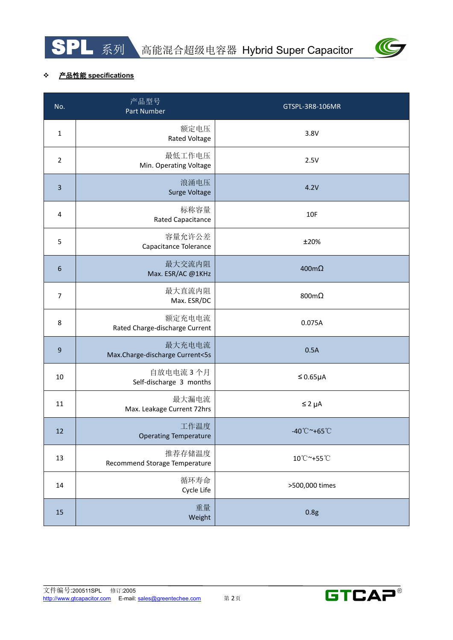



## 产品性能 **specifications**

| No.              | 产品型号<br>Part Number                       | GTSPL-3R8-106MR                   |
|------------------|-------------------------------------------|-----------------------------------|
| $\mathbf 1$      | 额定电压<br><b>Rated Voltage</b>              | 3.8V                              |
| $\overline{2}$   | 最低工作电压<br>Min. Operating Voltage          | 2.5V                              |
| $\overline{3}$   | 浪涌电压<br>Surge Voltage                     | 4.2V                              |
| $\overline{4}$   | 标称容量<br><b>Rated Capacitance</b>          | 10F                               |
| 5                | 容量允许公差<br>Capacitance Tolerance           | ±20%                              |
| 6                | 最大交流内阻<br>Max. ESR/AC @1KHz               | $400 \text{m}\Omega$              |
| $\overline{7}$   | 最大直流内阻<br>Max. ESR/DC                     | 800m $\Omega$                     |
| 8                | 额定充电电流<br>Rated Charge-discharge Current  | 0.075A                            |
| $\boldsymbol{9}$ | 最大充电电流<br>Max.Charge-discharge Current<5s | 0.5A                              |
| 10               | 自放电电流 3个月<br>Self-discharge 3 months      | $\leq 0.65\mu A$                  |
| 11               | 最大漏电流<br>Max. Leakage Current 72hrs       | $\leq 2 \mu A$                    |
| 12               | 工作温度<br><b>Operating Temperature</b>      | $-40^{\circ}$ C ~+65 $^{\circ}$ C |
| 13               | 推荐存储温度<br>Recommend Storage Temperature   | 10°C~+55°C                        |
| 14               | 循环寿命<br>Cycle Life                        | >500,000 times                    |
| 15               | 重量<br>Weight                              | 0.8g                              |